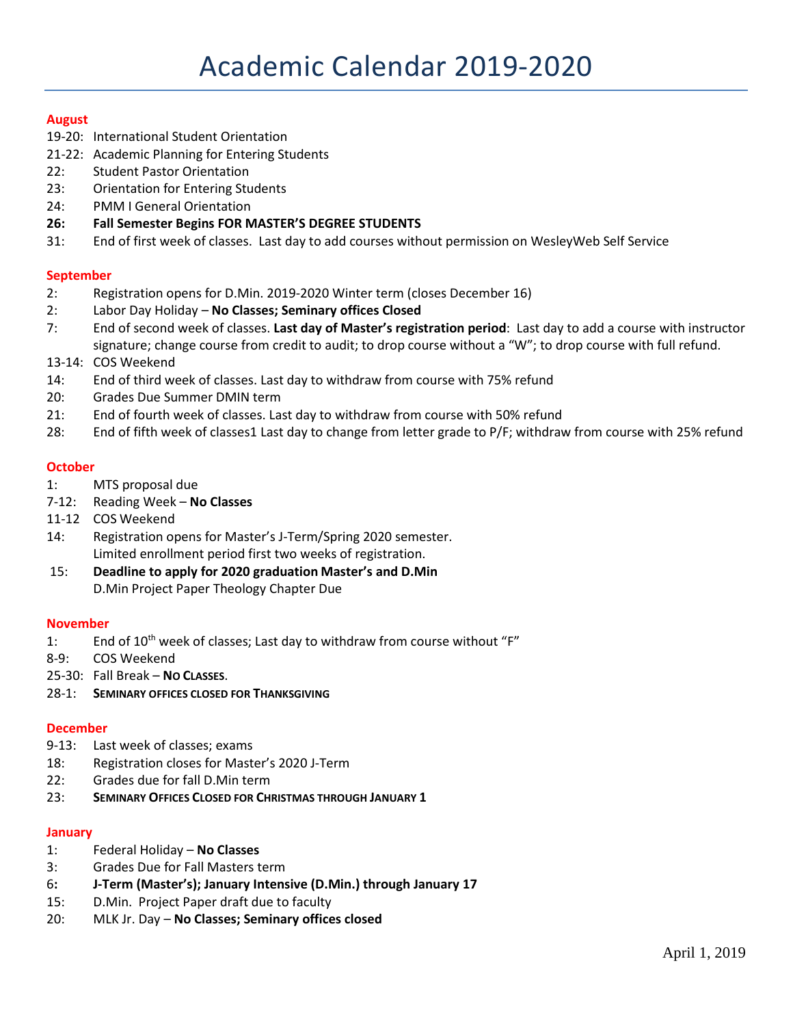## **August**

- 19-20: International Student Orientation
- 21-22: Academic Planning for Entering Students
- 22: Student Pastor Orientation
- 23: Orientation for Entering Students
- 24: PMM I General Orientation
- **26: Fall Semester Begins FOR MASTER'S DEGREE STUDENTS**
- 31: End of first week of classes. Last day to add courses without permission on WesleyWeb Self Service

## **September**

- 2: Registration opens for D.Min. 2019-2020 Winter term (closes December 16)
- 2: Labor Day Holiday **No Classes; Seminary offices Closed**
- 7: End of second week of classes. **Last day of Master's registration period**: Last day to add a course with instructor signature; change course from credit to audit; to drop course without a "W"; to drop course with full refund.
- 13-14: COS Weekend
- 14: End of third week of classes. Last day to withdraw from course with 75% refund
- 20: Grades Due Summer DMIN term
- 21: End of fourth week of classes. Last day to withdraw from course with 50% refund
- 28: End of fifth week of classes1 Last day to change from letter grade to P/F; withdraw from course with 25% refund

### **October**

- 1: MTS proposal due
- 7-12: Reading Week **No Classes**
- 11-12 COS Weekend
- 14: Registration opens for Master's J-Term/Spring 2020 semester. Limited enrollment period first two weeks of registration.
- 15: **Deadline to apply for 2020 graduation Master's and D.Min** D.Min Project Paper Theology Chapter Due

#### **November**

- 1: End of 10<sup>th</sup> week of classes; Last day to withdraw from course without "F"
- 8-9: COS Weekend
- 25-30: Fall Break **NO CLASSES**.
- 28-1: **SEMINARY OFFICES CLOSED FOR THANKSGIVING**

#### **December**

- 9-13: Last week of classes; exams
- 18: Registration closes for Master's 2020 J-Term
- 22: Grades due for fall D.Min term
- 23: **SEMINARY OFFICES CLOSED FOR CHRISTMAS THROUGH JANUARY 1**

#### **January**

- 1: Federal Holiday **No Classes**
- 3: Grades Due for Fall Masters term
- 6**: J-Term (Master's); January Intensive (D.Min.) through January 17**
- 15: D.Min. Project Paper draft due to faculty
- 20: MLK Jr. Day **No Classes; Seminary offices closed**